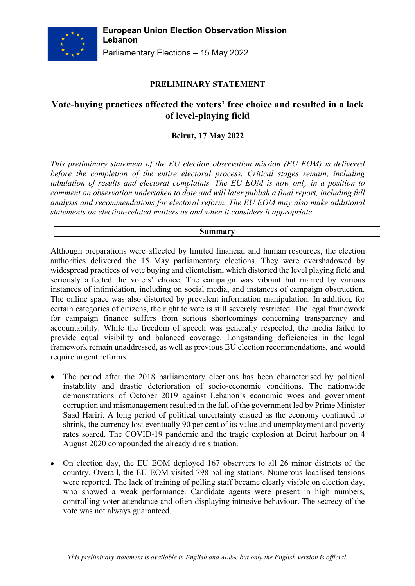

### **PRELIMINARY STATEMENT**

# **Vote-buying practices affected the voters' free choice and resulted in a lack of level-playing field**

### **Beirut, 17 May 2022**

*This preliminary statement of the EU election observation mission (EU EOM) is delivered before the completion of the entire electoral process. Critical stages remain, including tabulation of results and electoral complaints. The EU EOM is now only in a position to comment on observation undertaken to date and will later publish a final report, including full analysis and recommendations for electoral reform. The EU EOM may also make additional statements on election-related matters as and when it considers it appropriate*.

#### **Summary**

Although preparations were affected by limited financial and human resources, the election authorities delivered the 15 May parliamentary elections. They were overshadowed by widespread practices of vote buying and clientelism, which distorted the level playing field and seriously affected the voters' choice. The campaign was vibrant but marred by various instances of intimidation, including on social media, and instances of campaign obstruction. The online space was also distorted by prevalent information manipulation. In addition, for certain categories of citizens, the right to vote is still severely restricted. The legal framework for campaign finance suffers from serious shortcomings concerning transparency and accountability. While the freedom of speech was generally respected, the media failed to provide equal visibility and balanced coverage. Longstanding deficiencies in the legal framework remain unaddressed, as well as previous EU election recommendations, and would require urgent reforms.

- The period after the 2018 parliamentary elections has been characterised by political instability and drastic deterioration of socio-economic conditions. The nationwide demonstrations of October 2019 against Lebanon's economic woes and government corruption and mismanagement resulted in the fall of the government led by Prime Minister Saad Hariri. A long period of political uncertainty ensued as the economy continued to shrink, the currency lost eventually 90 per cent of its value and unemployment and poverty rates soared. The COVID-19 pandemic and the tragic explosion at Beirut harbour on 4 August 2020 compounded the already dire situation.
- On election day, the EU EOM deployed 167 observers to all 26 minor districts of the country. Overall, the EU EOM visited 798 polling stations. Numerous localised tensions were reported. The lack of training of polling staff became clearly visible on election day, who showed a weak performance. Candidate agents were present in high numbers, controlling voter attendance and often displaying intrusive behaviour. The secrecy of the vote was not always guaranteed.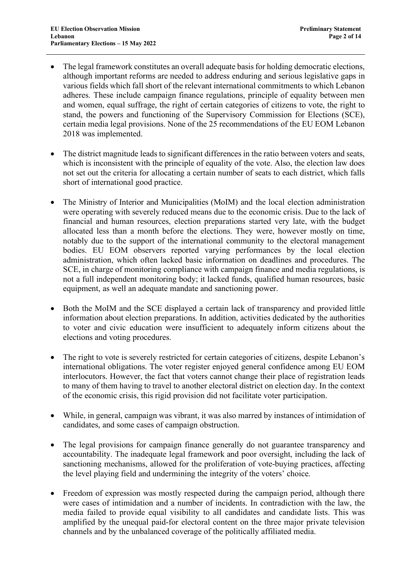- The legal framework constitutes an overall adequate basis for holding democratic elections, although important reforms are needed to address enduring and serious legislative gaps in various fields which fall short of the relevant international commitments to which Lebanon adheres. These include campaign finance regulations, principle of equality between men and women, equal suffrage, the right of certain categories of citizens to vote, the right to stand, the powers and functioning of the Supervisory Commission for Elections (SCE), certain media legal provisions. None of the 25 recommendations of the EU EOM Lebanon 2018 was implemented.
- The district magnitude leads to significant differences in the ratio between voters and seats, which is inconsistent with the principle of equality of the vote. Also, the election law does not set out the criteria for allocating a certain number of seats to each district, which falls short of international good practice.
- The Ministry of Interior and Municipalities (MoIM) and the local election administration were operating with severely reduced means due to the economic crisis. Due to the lack of financial and human resources, election preparations started very late, with the budget allocated less than a month before the elections. They were, however mostly on time, notably due to the support of the international community to the electoral management bodies. EU EOM observers reported varying performances by the local election administration, which often lacked basic information on deadlines and procedures. The SCE, in charge of monitoring compliance with campaign finance and media regulations, is not a full independent monitoring body; it lacked funds, qualified human resources, basic equipment, as well an adequate mandate and sanctioning power.
- Both the MoIM and the SCE displayed a certain lack of transparency and provided little information about election preparations. In addition, activities dedicated by the authorities to voter and civic education were insufficient to adequately inform citizens about the elections and voting procedures.
- The right to vote is severely restricted for certain categories of citizens, despite Lebanon's international obligations. The voter register enjoyed general confidence among EU EOM interlocutors. However, the fact that voters cannot change their place of registration leads to many of them having to travel to another electoral district on election day. In the context of the economic crisis, this rigid provision did not facilitate voter participation.
- While, in general, campaign was vibrant, it was also marred by instances of intimidation of candidates, and some cases of campaign obstruction.
- The legal provisions for campaign finance generally do not guarantee transparency and accountability. The inadequate legal framework and poor oversight, including the lack of sanctioning mechanisms, allowed for the proliferation of vote-buying practices, affecting the level playing field and undermining the integrity of the voters' choice.
- Freedom of expression was mostly respected during the campaign period, although there were cases of intimidation and a number of incidents. In contradiction with the law, the media failed to provide equal visibility to all candidates and candidate lists. This was amplified by the unequal paid-for electoral content on the three major private television channels and by the unbalanced coverage of the politically affiliated media.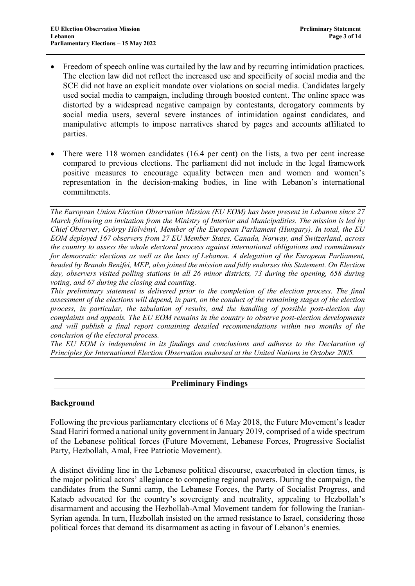- Freedom of speech online was curtailed by the law and by recurring intimidation practices. The election law did not reflect the increased use and specificity of social media and the SCE did not have an explicit mandate over violations on social media. Candidates largely used social media to campaign, including through boosted content. The online space was distorted by a widespread negative campaign by contestants, derogatory comments by social media users, several severe instances of intimidation against candidates, and manipulative attempts to impose narratives shared by pages and accounts affiliated to parties.
- There were 118 women candidates (16.4 per cent) on the lists, a two per cent increase compared to previous elections. The parliament did not include in the legal framework positive measures to encourage equality between men and women and women's representation in the decision-making bodies, in line with Lebanon's international commitments.

*The European Union Election Observation Mission (EU EOM) has been present in Lebanon since 27 March following an invitation from the Ministry of Interior and Municipalities. The mission is led by Chief Observer, György Hölvényi, Member of the European Parliament (Hungary). In total, the EU EOM deployed 167 observers from 27 EU Member States, Canada, Norway, and Switzerland, across the country to assess the whole electoral process against international obligations and commitments for democratic elections as well as the laws of Lebanon. A delegation of the European Parliament, headed by Brando Benifei, MEP, also joined the mission and fully endorses this Statement. On Election day, observers visited polling stations in all 26 minor districts, 73 during the opening, 658 during voting, and 67 during the closing and counting.* 

*This preliminary statement is delivered prior to the completion of the election process. The final assessment of the elections will depend, in part, on the conduct of the remaining stages of the election process, in particular, the tabulation of results, and the handling of possible post-election day complaints and appeals. The EU EOM remains in the country to observe post-election developments and will publish a final report containing detailed recommendations within two months of the conclusion of the electoral process.* 

*The EU EOM is independent in its findings and conclusions and adheres to the Declaration of Principles for International Election Observation endorsed at the United Nations in October 2005.*

### **Preliminary Findings**

#### **Background**

Following the previous parliamentary elections of 6 May 2018, the Future Movement's leader Saad Hariri formed a national unity government in January 2019, comprised of a wide spectrum of the Lebanese political forces (Future Movement, Lebanese Forces, Progressive Socialist Party, Hezbollah, Amal, Free Patriotic Movement).

A distinct dividing line in the Lebanese political discourse, exacerbated in election times, is the major political actors' allegiance to competing regional powers. During the campaign, the candidates from the Sunni camp, the Lebanese Forces, the Party of Socialist Progress, and Kataeb advocated for the country's sovereignty and neutrality, appealing to Hezbollah's disarmament and accusing the Hezbollah-Amal Movement tandem for following the Iranian-Syrian agenda. In turn, Hezbollah insisted on the armed resistance to Israel, considering those political forces that demand its disarmament as acting in favour of Lebanon's enemies.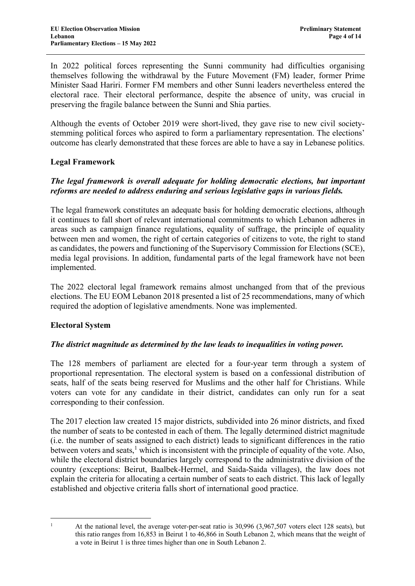In 2022 political forces representing the Sunni community had difficulties organising themselves following the withdrawal by the Future Movement (FM) leader, former Prime Minister Saad Hariri. Former FM members and other Sunni leaders nevertheless entered the electoral race. Their electoral performance, despite the absence of unity, was crucial in preserving the fragile balance between the Sunni and Shia parties.

Although the events of October 2019 were short-lived, they gave rise to new civil societystemming political forces who aspired to form a parliamentary representation. The elections' outcome has clearly demonstrated that these forces are able to have a say in Lebanese politics.

### **Legal Framework**

# *The legal framework is overall adequate for holding democratic elections, but important reforms are needed to address enduring and serious legislative gaps in various fields.*

The legal framework constitutes an adequate basis for holding democratic elections, although it continues to fall short of relevant international commitments to which Lebanon adheres in areas such as campaign finance regulations, equality of suffrage, the principle of equality between men and women, the right of certain categories of citizens to vote, the right to stand as candidates, the powers and functioning of the Supervisory Commission for Elections (SCE), media legal provisions. In addition, fundamental parts of the legal framework have not been implemented.

The 2022 electoral legal framework remains almost unchanged from that of the previous elections. The EU EOM Lebanon 2018 presented a list of 25 recommendations, many of which required the adoption of legislative amendments. None was implemented.

### **Electoral System**

### *The district magnitude as determined by the law leads to inequalities in voting power.*

The 128 members of parliament are elected for a four-year term through a system of proportional representation. The electoral system is based on a confessional distribution of seats, half of the seats being reserved for Muslims and the other half for Christians. While voters can vote for any candidate in their district, candidates can only run for a seat corresponding to their confession.

The 2017 election law created 15 major districts, subdivided into 26 minor districts, and fixed the number of seats to be contested in each of them. The legally determined district magnitude (i.e. the number of seats assigned to each district) leads to significant differences in the ratio between voters and seats, $<sup>1</sup>$  which is inconsistent with the principle of equality of the vote. Also,</sup> while the electoral district boundaries largely correspond to the administrative division of the country (exceptions: Beirut, Baalbek-Hermel, and Saida-Saida villages), the law does not explain the criteria for allocating a certain number of seats to each district. This lack of legally established and objective criteria falls short of international good practice.

<sup>&</sup>lt;sup>1</sup> At the national level, the average voter-per-seat ratio is 30,996 (3,967,507 voters elect 128 seats), but this ratio ranges from 16,853 in Beirut 1 to 46,866 in South Lebanon 2, which means that the weight of a vote in Beirut 1 is three times higher than one in South Lebanon 2.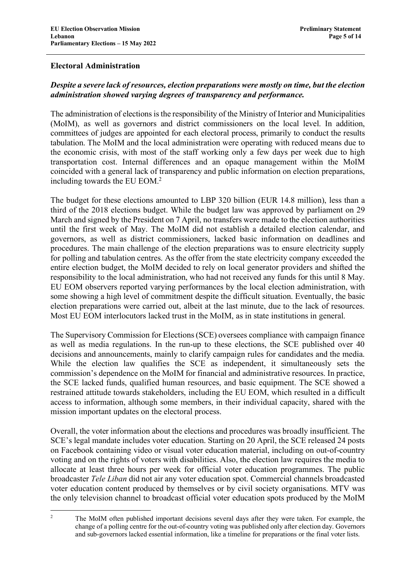### **Electoral Administration**

# *Despite a severe lack of resources, election preparations were mostly on time, but the election administration showed varying degrees of transparency and performance.*

The administration of elections is the responsibility of the Ministry of Interior and Municipalities (MoIM), as well as governors and district commissioners on the local level. In addition, committees of judges are appointed for each electoral process, primarily to conduct the results tabulation. The MoIM and the local administration were operating with reduced means due to the economic crisis, with most of the staff working only a few days per week due to high transportation cost. Internal differences and an opaque management within the MoIM coincided with a general lack of transparency and public information on election preparations, including towards the EU EOM. 2

The budget for these elections amounted to LBP 320 billion (EUR 14.8 million), less than a third of the 2018 elections budget. While the budget law was approved by parliament on 29 March and signed by the President on 7 April, no transfers were made to the election authorities until the first week of May. The MoIM did not establish a detailed election calendar, and governors, as well as district commissioners, lacked basic information on deadlines and procedures. The main challenge of the election preparations was to ensure electricity supply for polling and tabulation centres. As the offer from the state electricity company exceeded the entire election budget, the MoIM decided to rely on local generator providers and shifted the responsibility to the local administration, who had not received any funds for this until 8 May. EU EOM observers reported varying performances by the local election administration, with some showing a high level of commitment despite the difficult situation. Eventually, the basic election preparations were carried out, albeit at the last minute, due to the lack of resources. Most EU EOM interlocutors lacked trust in the MoIM, as in state institutions in general.

The Supervisory Commission for Elections (SCE) oversees compliance with campaign finance as well as media regulations. In the run-up to these elections, the SCE published over 40 decisions and announcements, mainly to clarify campaign rules for candidates and the media. While the election law qualifies the SCE as independent, it simultaneously sets the commission's dependence on the MoIM for financial and administrative resources. In practice, the SCE lacked funds, qualified human resources, and basic equipment. The SCE showed a restrained attitude towards stakeholders, including the EU EOM, which resulted in a difficult access to information, although some members, in their individual capacity, shared with the mission important updates on the electoral process.

Overall, the voter information about the elections and procedures was broadly insufficient. The SCE's legal mandate includes voter education. Starting on 20 April, the SCE released 24 posts on Facebook containing video or visual voter education material, including on out-of-country voting and on the rights of voters with disabilities. Also, the election law requires the media to allocate at least three hours per week for official voter education programmes. The public broadcaster *Tele Liban* did not air any voter education spot. Commercial channels broadcasted voter education content produced by themselves or by civil society organisations. MTV was the only television channel to broadcast official voter education spots produced by the MoIM

<sup>&</sup>lt;sup>2</sup> The MoIM often published important decisions several days after they were taken. For example, the change of a polling centre for the out-of-country voting was published only after election day. Governors and sub-governors lacked essential information, like a timeline for preparations or the final voter lists.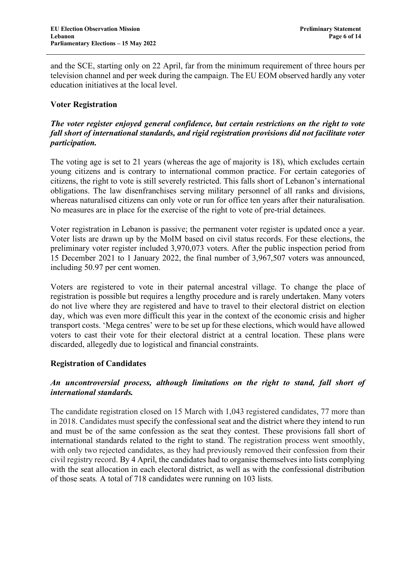and the SCE, starting only on 22 April, far from the minimum requirement of three hours per television channel and per week during the campaign. The EU EOM observed hardly any voter education initiatives at the local level.

### **Voter Registration**

### *The voter register enjoyed general confidence, but certain restrictions on the right to vote fall short of international standards, and rigid registration provisions did not facilitate voter participation.*

The voting age is set to 21 years (whereas the age of majority is 18), which excludes certain young citizens and is contrary to international common practice. For certain categories of citizens, the right to vote is still severely restricted. This falls short of Lebanon's international obligations. The law disenfranchises serving military personnel of all ranks and divisions, whereas naturalised citizens can only vote or run for office ten years after their naturalisation. No measures are in place for the exercise of the right to vote of pre-trial detainees.

Voter registration in Lebanon is passive; the permanent voter register is updated once a year. Voter lists are drawn up by the MoIM based on civil status records. For these elections, the preliminary voter register included 3,970,073 voters. After the public inspection period from 15 December 2021 to 1 January 2022, the final number of 3,967,507 voters was announced, including 50.97 per cent women.

Voters are registered to vote in their paternal ancestral village. To change the place of registration is possible but requires a lengthy procedure and is rarely undertaken. Many voters do not live where they are registered and have to travel to their electoral district on election day, which was even more difficult this year in the context of the economic crisis and higher transport costs. 'Mega centres' were to be set up for these elections, which would have allowed voters to cast their vote for their electoral district at a central location. These plans were discarded, allegedly due to logistical and financial constraints.

#### **Registration of Candidates**

### *An uncontroversial process, although limitations on the right to stand, fall short of international standards.*

The candidate registration closed on 15 March with 1,043 registered candidates, 77 more than in 2018. Candidates must specify the confessional seat and the district where they intend to run and must be of the same confession as the seat they contest. These provisions fall short of international standards related to the right to stand. The registration process went smoothly, with only two rejected candidates, as they had previously removed their confession from their civil registry record. By 4 April, the candidates had to organise themselves into lists complying with the seat allocation in each electoral district, as well as with the confessional distribution of those seats*.* A total of 718 candidates were running on 103 lists.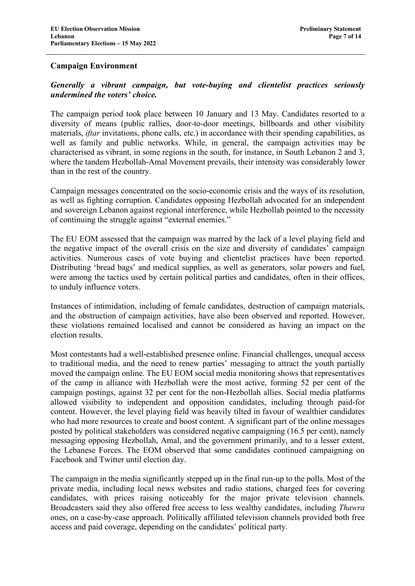#### **Campaign Environment**

## *Generally a vibrant campaign, but vote-buying and clientelist practices seriously undermined the voters' choice.*

The campaign period took place between 10 January and 13 May. Candidates resorted to a diversity of means (public rallies, door-to-door meetings, billboards and other visibility materials, *iftar* invitations, phone calls, etc.) in accordance with their spending capabilities, as well as family and public networks. While, in general, the campaign activities may be characterised as vibrant, in some regions in the south, for instance, in South Lebanon 2 and 3, where the tandem Hezbollah-Amal Movement prevails, their intensity was considerably lower than in the rest of the country.

Campaign messages concentrated on the socio-economic crisis and the ways of its resolution, as well as fighting corruption. Candidates opposing Hezbollah advocated for an independent and sovereign Lebanon against regional interference, while Hezbollah pointed to the necessity of continuing the struggle against "external enemies."

The EU EOM assessed that the campaign was marred by the lack of a level playing field and the negative impact of the overall crisis on the size and diversity of candidates' campaign activities. Numerous cases of vote buying and clientelist practices have been reported. Distributing 'bread bags' and medical supplies, as well as generators, solar powers and fuel, were among the tactics used by certain political parties and candidates, often in their offices, to unduly influence voters.

Instances of intimidation, including of female candidates, destruction of campaign materials, and the obstruction of campaign activities, have also been observed and reported. However, these violations remained localised and cannot be considered as having an impact on the election results.

Most contestants had a well-established presence online. Financial challenges, unequal access to traditional media, and the need to renew parties' messaging to attract the youth partially moved the campaign online. The EU EOM social media monitoring shows that representatives of the camp in alliance with Hezbollah were the most active, forming 52 per cent of the campaign postings, against 32 per cent for the non-Hezbollah allies. Social media platforms allowed visibility to independent and opposition candidates, including through paid-for content. However, the level playing field was heavily tilted in favour of wealthier candidates who had more resources to create and boost content. A significant part of the online messages posted by political stakeholders was considered negative campaigning (16.5 per cent), namely messaging opposing Hezbollah, Amal, and the government primarily, and to a lesser extent, the Lebanese Forces. The EOM observed that some candidates continued campaigning on Facebook and Twitter until election day.

The campaign in the media significantly stepped up in the final run-up to the polls. Most of the private media, including local news websites and radio stations, charged fees for covering candidates, with prices raising noticeably for the major private television channels. Broadcasters said they also offered free access to less wealthy candidates, including *Thawra* ones, on a case-by-case approach. Politically affiliated television channels provided both free access and paid coverage, depending on the candidates' political party.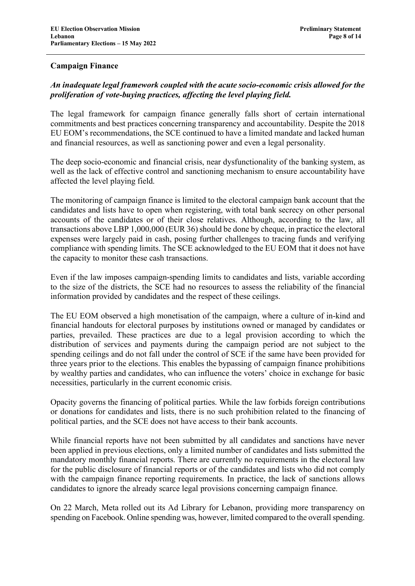### **Campaign Finance**

# *An inadequate legal framework coupled with the acute socio-economic crisis allowed for the proliferation of vote-buying practices, affecting the level playing field.*

The legal framework for campaign finance generally falls short of certain international commitments and best practices concerning transparency and accountability. Despite the 2018 EU EOM's recommendations, the SCE continued to have a limited mandate and lacked human and financial resources, as well as sanctioning power and even a legal personality.

The deep socio-economic and financial crisis, near dysfunctionality of the banking system, as well as the lack of effective control and sanctioning mechanism to ensure accountability have affected the level playing field.

The monitoring of campaign finance is limited to the electoral campaign bank account that the candidates and lists have to open when registering, with total bank secrecy on other personal accounts of the candidates or of their close relatives. Although, according to the law, all transactions above LBP 1,000,000 (EUR 36) should be done by cheque, in practice the electoral expenses were largely paid in cash, posing further challenges to tracing funds and verifying compliance with spending limits. The SCE acknowledged to the EU EOM that it does not have the capacity to monitor these cash transactions.

Even if the law imposes campaign-spending limits to candidates and lists, variable according to the size of the districts, the SCE had no resources to assess the reliability of the financial information provided by candidates and the respect of these ceilings.

The EU EOM observed a high monetisation of the campaign, where a culture of in-kind and financial handouts for electoral purposes by institutions owned or managed by candidates or parties, prevailed. These practices are due to a legal provision according to which the distribution of services and payments during the campaign period are not subject to the spending ceilings and do not fall under the control of SCE if the same have been provided for three years prior to the elections. This enables the bypassing of campaign finance prohibitions by wealthy parties and candidates, who can influence the voters' choice in exchange for basic necessities, particularly in the current economic crisis.

Opacity governs the financing of political parties. While the law forbids foreign contributions or donations for candidates and lists, there is no such prohibition related to the financing of political parties, and the SCE does not have access to their bank accounts.

While financial reports have not been submitted by all candidates and sanctions have never been applied in previous elections, only a limited number of candidates and lists submitted the mandatory monthly financial reports. There are currently no requirements in the electoral law for the public disclosure of financial reports or of the candidates and lists who did not comply with the campaign finance reporting requirements. In practice, the lack of sanctions allows candidates to ignore the already scarce legal provisions concerning campaign finance.

On 22 March, Meta rolled out its Ad Library for Lebanon, providing more transparency on spending on Facebook. Online spending was, however, limited compared to the overall spending.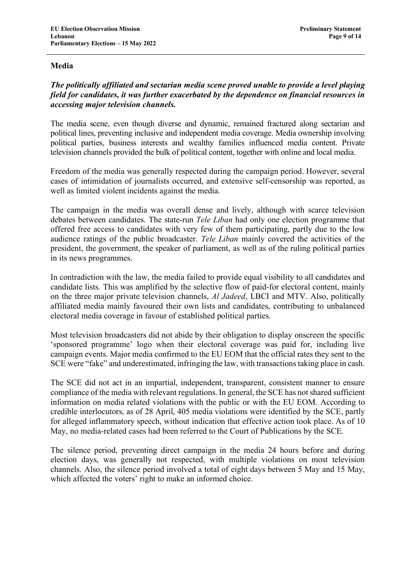#### **Media**

## *The politically affiliated and sectarian media scene proved unable to provide a level playing field for candidates, it was further exacerbated by the dependence on financial resources in accessing major television channels.*

The media scene, even though diverse and dynamic, remained fractured along sectarian and political lines, preventing inclusive and independent media coverage. Media ownership involving political parties, business interests and wealthy families influenced media content. Private television channels provided the bulk of political content, together with online and local media.

Freedom of the media was generally respected during the campaign period. However, several cases of intimidation of journalists occurred, and extensive self-censorship was reported, as well as limited violent incidents against the media.

The campaign in the media was overall dense and lively, although with scarce television debates between candidates. The state-run *Tele Liban* had only one election programme that offered free access to candidates with very few of them participating, partly due to the low audience ratings of the public broadcaster. *Tele Liban* mainly covered the activities of the president, the government, the speaker of parliament, as well as of the ruling political parties in its news programmes.

In contradiction with the law, the media failed to provide equal visibility to all candidates and candidate lists. This was amplified by the selective flow of paid-for electoral content, mainly on the three major private television channels, *Al Jadeed*, LBCI and MTV. Also, politically affiliated media mainly favoured their own lists and candidates, contributing to unbalanced electoral media coverage in favour of established political parties.

Most television broadcasters did not abide by their obligation to display onscreen the specific 'sponsored programme' logo when their electoral coverage was paid for, including live campaign events. Major media confirmed to the EU EOM that the official rates they sent to the SCE were "fake" and underestimated, infringing the law, with transactions taking place in cash.

The SCE did not act in an impartial, independent, transparent, consistent manner to ensure compliance of the media with relevant regulations. In general, the SCE has not shared sufficient information on media related violations with the public or with the EU EOM. According to credible interlocutors, as of 28 April, 405 media violations were identified by the SCE, partly for alleged inflammatory speech, without indication that effective action took place. As of 10 May, no media-related cases had been referred to the Court of Publications by the SCE.

The silence period, preventing direct campaign in the media 24 hours before and during election days, was generally not respected, with multiple violations on most television channels. Also, the silence period involved a total of eight days between 5 May and 15 May, which affected the voters' right to make an informed choice.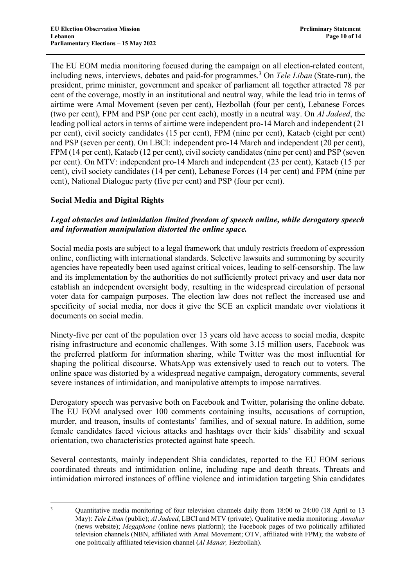The EU EOM media monitoring focused during the campaign on all election-related content, including news, interviews, debates and paid-for programmes.<sup>3</sup> On *Tele Liban* (State-run), the president, prime minister, government and speaker of parliament all together attracted 78 per cent of the coverage, mostly in an institutional and neutral way, while the lead trio in terms of airtime were Amal Movement (seven per cent), Hezbollah (four per cent), Lebanese Forces (two per cent), FPM and PSP (one per cent each), mostly in a neutral way. On *Al Jadeed*, the leading pollical actors in terms of airtime were independent pro-14 March and independent (21 per cent), civil society candidates (15 per cent), FPM (nine per cent), Kataeb (eight per cent) and PSP (seven per cent). On LBCI: independent pro-14 March and independent (20 per cent), FPM (14 per cent), Kataeb (12 per cent), civil society candidates (nine per cent) and PSP (seven per cent). On MTV: independent pro-14 March and independent (23 per cent), Kataeb (15 per cent), civil society candidates (14 per cent), Lebanese Forces (14 per cent) and FPM (nine per cent), National Dialogue party (five per cent) and PSP (four per cent).

# **Social Media and Digital Rights**

### *Legal obstacles and intimidation limited freedom of speech online, while derogatory speech and information manipulation distorted the online space.*

Social media posts are subject to a legal framework that unduly restricts freedom of expression online, conflicting with international standards. Selective lawsuits and summoning by security agencies have repeatedly been used against critical voices, leading to self-censorship. The law and its implementation by the authorities do not sufficiently protect privacy and user data nor establish an independent oversight body, resulting in the widespread circulation of personal voter data for campaign purposes. The election law does not reflect the increased use and specificity of social media, nor does it give the SCE an explicit mandate over violations it documents on social media.

Ninety-five per cent of the population over 13 years old have access to social media, despite rising infrastructure and economic challenges. With some 3.15 million users, Facebook was the preferred platform for information sharing, while Twitter was the most influential for shaping the political discourse. WhatsApp was extensively used to reach out to voters. The online space was distorted by a widespread negative campaign, derogatory comments, several severe instances of intimidation, and manipulative attempts to impose narratives.

Derogatory speech was pervasive both on Facebook and Twitter, polarising the online debate. The EU EOM analysed over 100 comments containing insults, accusations of corruption, murder, and treason, insults of contestants' families, and of sexual nature. In addition, some female candidates faced vicious attacks and hashtags over their kids' disability and sexual orientation, two characteristics protected against hate speech.

Several contestants, mainly independent Shia candidates, reported to the EU EOM serious coordinated threats and intimidation online, including rape and death threats. Threats and intimidation mirrored instances of offline violence and intimidation targeting Shia candidates

<sup>&</sup>lt;sup>3</sup> Quantitative media monitoring of four television channels daily from 18:00 to 24:00 (18 April to 13 May): *Tele Liban* (public); *Al Jadeed*, LBCI and MTV (private). Qualitative media monitoring: *Annahar* (news website); *Megaphone* (online news platform); the Facebook pages of two politically affiliated television channels (NBN, affiliated with Amal Movement; OTV, affiliated with FPM); the website of one politically affiliated television channel (*Al Manar,* Hezbollah).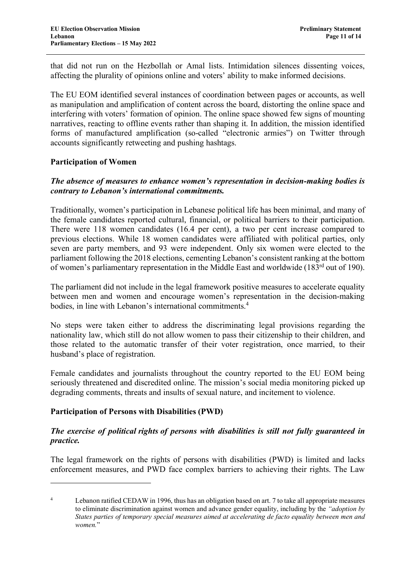that did not run on the Hezbollah or Amal lists. Intimidation silences dissenting voices, affecting the plurality of opinions online and voters' ability to make informed decisions.

The EU EOM identified several instances of coordination between pages or accounts, as well as manipulation and amplification of content across the board, distorting the online space and interfering with voters' formation of opinion. The online space showed few signs of mounting narratives, reacting to offline events rather than shaping it. In addition, the mission identified forms of manufactured amplification (so-called "electronic armies") on Twitter through accounts significantly retweeting and pushing hashtags.

### **Participation of Women**

### *The absence of measures to enhance women's representation in decision-making bodies is contrary to Lebanon's international commitments.*

Traditionally, women's participation in Lebanese political life has been minimal, and many of the female candidates reported cultural, financial, or political barriers to their participation. There were 118 women candidates (16.4 per cent), a two per cent increase compared to previous elections. While 18 women candidates were affiliated with political parties, only seven are party members, and 93 were independent. Only six women were elected to the parliament following the 2018 elections, cementing Lebanon's consistent ranking at the bottom of women's parliamentary representation in the Middle East and worldwide (183 $^{\text{rd}}$  out of 190).

The parliament did not include in the legal framework positive measures to accelerate equality between men and women and encourage women's representation in the decision-making bodies, in line with Lebanon's international commitments.<sup>4</sup>

No steps were taken either to address the discriminating legal provisions regarding the nationality law, which still do not allow women to pass their citizenship to their children, and those related to the automatic transfer of their voter registration, once married, to their husband's place of registration.

Female candidates and journalists throughout the country reported to the EU EOM being seriously threatened and discredited online. The mission's social media monitoring picked up degrading comments, threats and insults of sexual nature, and incitement to violence.

### **Participation of Persons with Disabilities (PWD)**

 $\overline{a}$ 

### *The exercise of political rights of persons with disabilities is still not fully guaranteed in practice.*

The legal framework on the rights of persons with disabilities (PWD) is limited and lacks enforcement measures, and PWD face complex barriers to achieving their rights. The Law

<sup>4</sup> Lebanon ratified CEDAW in 1996, thus has an obligation based on art. 7 to take all appropriate measures to eliminate discrimination against women and advance gender equality, including by the *"adoption by States parties of temporary special measures aimed at accelerating de facto equality between men and women.*"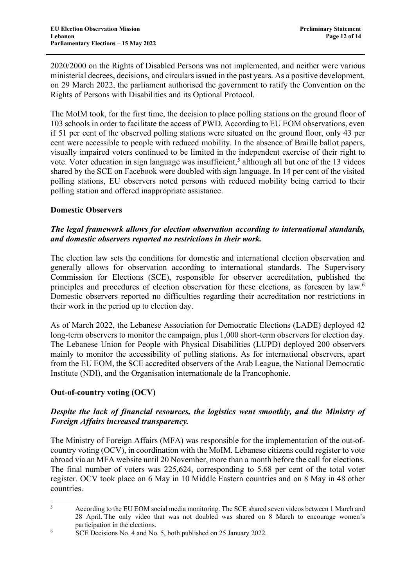2020/2000 on the Rights of Disabled Persons was not implemented, and neither were various ministerial decrees, decisions, and circulars issued in the past years. As a positive development, on 29 March 2022, the parliament authorised the government to ratify the Convention on the Rights of Persons with Disabilities and its Optional Protocol.

The MoIM took, for the first time, the decision to place polling stations on the ground floor of 103 schools in order to facilitate the access of PWD. According to EU EOM observations, even if 51 per cent of the observed polling stations were situated on the ground floor, only 43 per cent were accessible to people with reduced mobility. In the absence of Braille ballot papers, visually impaired voters continued to be limited in the independent exercise of their right to vote. Voter education in sign language was insufficient,<sup>5</sup> although all but one of the 13 videos shared by the SCE on Facebook were doubled with sign language. In 14 per cent of the visited polling stations, EU observers noted persons with reduced mobility being carried to their polling station and offered inappropriate assistance.

### **Domestic Observers**

### *The legal framework allows for election observation according to international standards, and domestic observers reported no restrictions in their work.*

The election law sets the conditions for domestic and international election observation and generally allows for observation according to international standards. The Supervisory Commission for Elections (SCE), responsible for observer accreditation, published the principles and procedures of election observation for these elections, as foreseen by law.<sup>6</sup> Domestic observers reported no difficulties regarding their accreditation nor restrictions in their work in the period up to election day.

As of March 2022, the Lebanese Association for Democratic Elections (LADE) deployed 42 long-term observers to monitor the campaign, plus 1,000 short-term observers for election day. The Lebanese Union for People with Physical Disabilities (LUPD) deployed 200 observers mainly to monitor the accessibility of polling stations. As for international observers, apart from the EU EOM, the SCE accredited observers of the Arab League, the National Democratic Institute (NDI), and the Organisation internationale de la Francophonie.

### **Out-of-country voting (OCV)**

### *Despite the lack of financial resources, the logistics went smoothly, and the Ministry of Foreign Affairs increased transparency.*

The Ministry of Foreign Affairs (MFA) was responsible for the implementation of the out-ofcountry voting (OCV), in coordination with the MoIM. Lebanese citizens could register to vote abroad via an MFA website until 20 November, more than a month before the call for elections. The final number of voters was 225,624, corresponding to 5.68 per cent of the total voter register. OCV took place on 6 May in 10 Middle Eastern countries and on 8 May in 48 other countries.

 <sup>5</sup> According to the EU EOM social media monitoring. The SCE shared seven videos between <sup>1</sup> March and 28 April. The only video that was not doubled was shared on 8 March to encourage women's participation in the elections.

<sup>&</sup>lt;sup>6</sup> SCE Decisions No. 4 and No. 5, both published on 25 January 2022.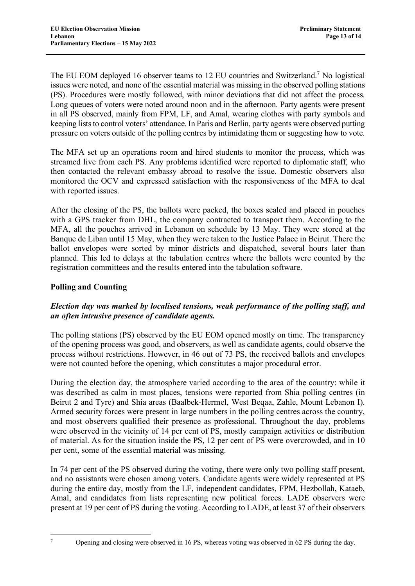The EU EOM deployed 16 observer teams to 12 EU countries and Switzerland.7 No logistical issues were noted, and none of the essential material was missing in the observed polling stations (PS). Procedures were mostly followed, with minor deviations that did not affect the process. Long queues of voters were noted around noon and in the afternoon. Party agents were present in all PS observed, mainly from FPM, LF, and Amal, wearing clothes with party symbols and keeping lists to control voters' attendance. In Paris and Berlin, party agents were observed putting pressure on voters outside of the polling centres by intimidating them or suggesting how to vote.

The MFA set up an operations room and hired students to monitor the process, which was streamed live from each PS. Any problems identified were reported to diplomatic staff, who then contacted the relevant embassy abroad to resolve the issue. Domestic observers also monitored the OCV and expressed satisfaction with the responsiveness of the MFA to deal with reported issues.

After the closing of the PS, the ballots were packed, the boxes sealed and placed in pouches with a GPS tracker from DHL, the company contracted to transport them. According to the MFA, all the pouches arrived in Lebanon on schedule by 13 May. They were stored at the Banque de Liban until 15 May, when they were taken to the Justice Palace in Beirut. There the ballot envelopes were sorted by minor districts and dispatched, several hours later than planned. This led to delays at the tabulation centres where the ballots were counted by the registration committees and the results entered into the tabulation software.

# **Polling and Counting**

# *Election day was marked by localised tensions, weak performance of the polling staff, and an often intrusive presence of candidate agents.*

The polling stations (PS) observed by the EU EOM opened mostly on time. The transparency of the opening process was good, and observers, as well as candidate agents, could observe the process without restrictions. However, in 46 out of 73 PS, the received ballots and envelopes were not counted before the opening, which constitutes a major procedural error.

During the election day, the atmosphere varied according to the area of the country: while it was described as calm in most places, tensions were reported from Shia polling centres (in Beirut 2 and Tyre) and Shia areas (Baalbek-Hermel, West Beqaa, Zahle, Mount Lebanon I). Armed security forces were present in large numbers in the polling centres across the country, and most observers qualified their presence as professional. Throughout the day, problems were observed in the vicinity of 14 per cent of PS, mostly campaign activities or distribution of material. As for the situation inside the PS, 12 per cent of PS were overcrowded, and in 10 per cent, some of the essential material was missing.

In 74 per cent of the PS observed during the voting, there were only two polling staff present, and no assistants were chosen among voters. Candidate agents were widely represented at PS during the entire day, mostly from the LF, independent candidates, FPM, Hezbollah, Kataeb, Amal, and candidates from lists representing new political forces. LADE observers were present at 19 per cent of PS during the voting. According to LADE, at least 37 of their observers

<sup>&</sup>lt;sup>7</sup> Opening and closing were observed in 16 PS, whereas voting was observed in 62 PS during the day.